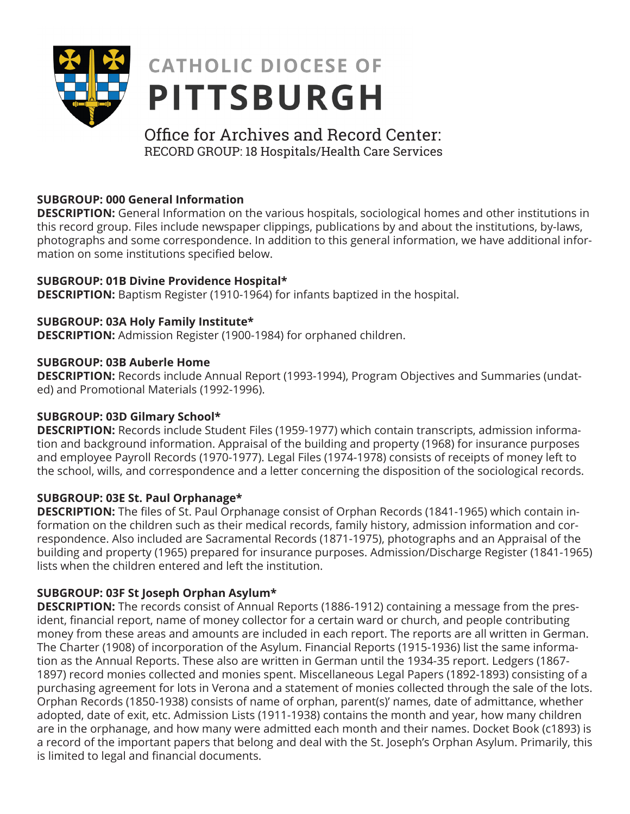

# **CATHOLIC DIOCESE OF PITTSBURGH**

# Office for Archives and Record Center: RECORD GROUP: 18 Hospitals/Health Care Services

# **SUBGROUP: 000 General Information**

**DESCRIPTION:** General Information on the various hospitals, sociological homes and other institutions in this record group. Files include newspaper clippings, publications by and about the institutions, by-laws, photographs and some correspondence. In addition to this general information, we have additional information on some institutions specified below.

# **SUBGROUP: 01B Divine Providence Hospital\***

**DESCRIPTION:** Baptism Register (1910-1964) for infants baptized in the hospital.

# **SUBGROUP: 03A Holy Family Institute\***

**DESCRIPTION:** Admission Register (1900-1984) for orphaned children.

#### **SUBGROUP: 03B Auberle Home**

**DESCRIPTION:** Records include Annual Report (1993-1994), Program Objectives and Summaries (undated) and Promotional Materials (1992-1996).

# **SUBGROUP: 03D Gilmary School\***

**DESCRIPTION:** Records include Student Files (1959-1977) which contain transcripts, admission information and background information. Appraisal of the building and property (1968) for insurance purposes and employee Payroll Records (1970-1977). Legal Files (1974-1978) consists of receipts of money left to the school, wills, and correspondence and a letter concerning the disposition of the sociological records.

# **SUBGROUP: 03E St. Paul Orphanage\***

**DESCRIPTION:** The files of St. Paul Orphanage consist of Orphan Records (1841-1965) which contain information on the children such as their medical records, family history, admission information and correspondence. Also included are Sacramental Records (1871-1975), photographs and an Appraisal of the building and property (1965) prepared for insurance purposes. Admission/Discharge Register (1841-1965) lists when the children entered and left the institution.

# **SUBGROUP: 03F St Joseph Orphan Asylum\***

**DESCRIPTION:** The records consist of Annual Reports (1886-1912) containing a message from the president, financial report, name of money collector for a certain ward or church, and people contributing money from these areas and amounts are included in each report. The reports are all written in German. The Charter (1908) of incorporation of the Asylum. Financial Reports (1915-1936) list the same information as the Annual Reports. These also are written in German until the 1934-35 report. Ledgers (1867- 1897) record monies collected and monies spent. Miscellaneous Legal Papers (1892-1893) consisting of a purchasing agreement for lots in Verona and a statement of monies collected through the sale of the lots. Orphan Records (1850-1938) consists of name of orphan, parent(s)' names, date of admittance, whether adopted, date of exit, etc. Admission Lists (1911-1938) contains the month and year, how many children are in the orphanage, and how many were admitted each month and their names. Docket Book (c1893) is a record of the important papers that belong and deal with the St. Joseph's Orphan Asylum. Primarily, this is limited to legal and financial documents.